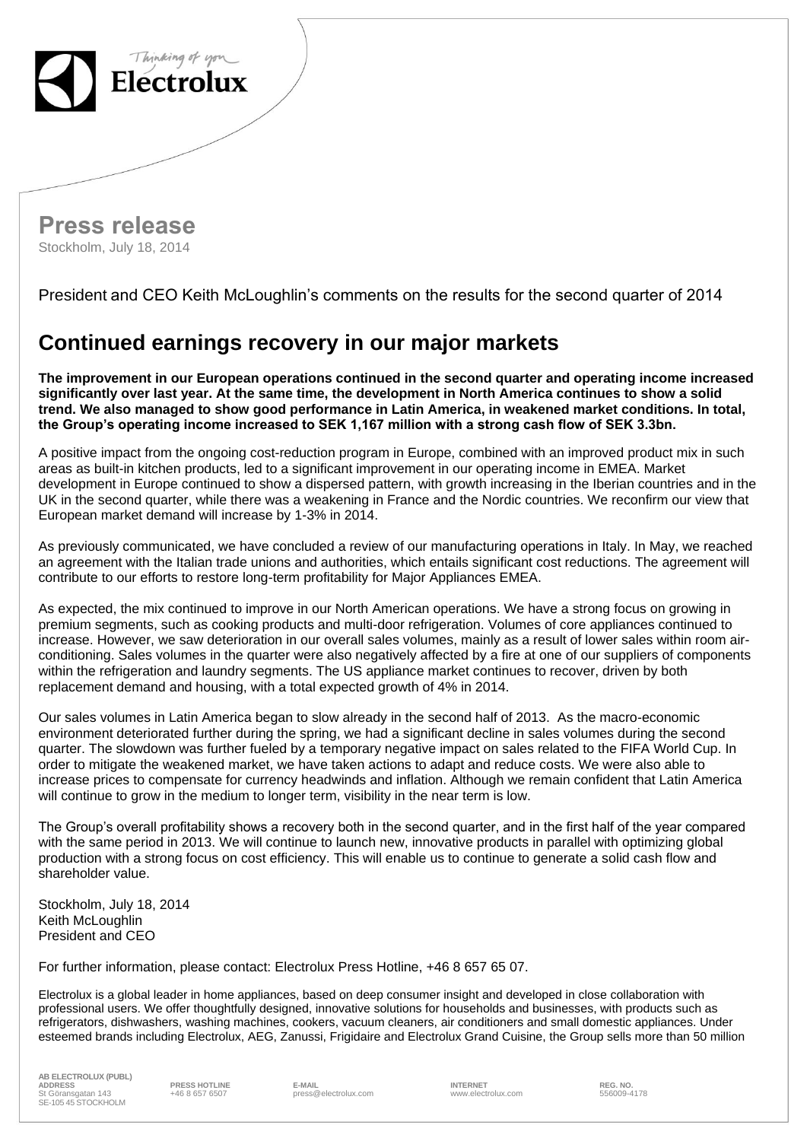

**Press release** Stockholm, July 18, 2014

President and CEO Keith McLoughlin's comments on the results for the second quarter of 2014

## **Continued earnings recovery in our major markets**

**The improvement in our European operations continued in the second quarter and operating income increased significantly over last year. At the same time, the development in North America continues to show a solid trend. We also managed to show good performance in Latin America, in weakened market conditions. In total, the Group's operating income increased to SEK 1,167 million with a strong cash flow of SEK 3.3bn.**

A positive impact from the ongoing cost-reduction program in Europe, combined with an improved product mix in such areas as built-in kitchen products, led to a significant improvement in our operating income in EMEA. Market development in Europe continued to show a dispersed pattern, with growth increasing in the Iberian countries and in the UK in the second quarter, while there was a weakening in France and the Nordic countries. We reconfirm our view that European market demand will increase by 1-3% in 2014.

As previously communicated, we have concluded a review of our manufacturing operations in Italy. In May, we reached an agreement with the Italian trade unions and authorities, which entails significant cost reductions. The agreement will contribute to our efforts to restore long-term profitability for Major Appliances EMEA.

As expected, the mix continued to improve in our North American operations. We have a strong focus on growing in premium segments, such as cooking products and multi-door refrigeration. Volumes of core appliances continued to increase. However, we saw deterioration in our overall sales volumes, mainly as a result of lower sales within room airconditioning. Sales volumes in the quarter were also negatively affected by a fire at one of our suppliers of components within the refrigeration and laundry segments. The US appliance market continues to recover, driven by both replacement demand and housing, with a total expected growth of 4% in 2014.

Our sales volumes in Latin America began to slow already in the second half of 2013. As the macro-economic environment deteriorated further during the spring, we had a significant decline in sales volumes during the second quarter. The slowdown was further fueled by a temporary negative impact on sales related to the FIFA World Cup. In order to mitigate the weakened market, we have taken actions to adapt and reduce costs. We were also able to increase prices to compensate for currency headwinds and inflation. Although we remain confident that Latin America will continue to grow in the medium to longer term, visibility in the near term is low.

The Group's overall profitability shows a recovery both in the second quarter, and in the first half of the year compared with the same period in 2013. We will continue to launch new, innovative products in parallel with optimizing global production with a strong focus on cost efficiency. This will enable us to continue to generate a solid cash flow and shareholder value.

Stockholm, July 18, 2014 Keith McLoughlin President and CEO

For further information, please contact: Electrolux Press Hotline, +46 8 657 65 07.

Electrolux is a global leader in home appliances, based on deep consumer insight and developed in close collaboration with professional users. We offer thoughtfully designed, innovative solutions for households and businesses, with products such as refrigerators, dishwashers, washing machines, cookers, vacuum cleaners, air conditioners and small domestic appliances. Under esteemed brands including Electrolux, AEG, Zanussi, Frigidaire and Electrolux Grand Cuisine, the Group sells more than 50 million

**AB ELECTROLUX (PUBL) ADDRESS PRESS HOTLINE E-MAIL INTERNET REG. NO.** St Göransgatan 143 SE-105 45 STOCKHOLM

+46 8 657 6507 press@electrolux.com www.electrolux.com 556009-4178